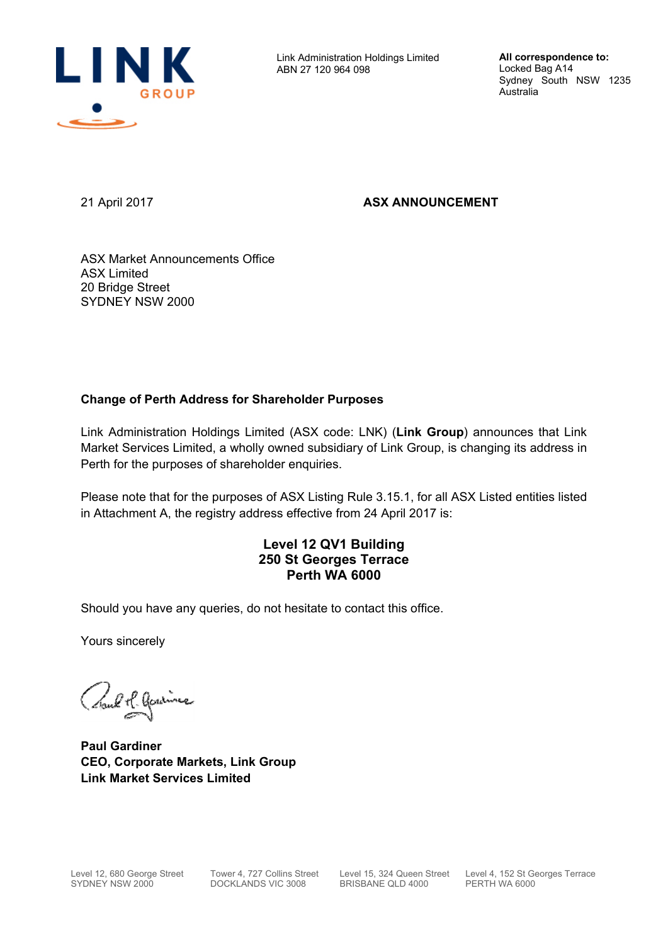

Link Administration Holdings Limited ABN 27 120 964 098

**All correspondence to:**  Locked Bag A14 Sydney South NSW 1235 Australia

21 April 2017 **ASX ANNOUNCEMENT** 

ASX Market Announcements Office ASX Limited 20 Bridge Street SYDNEY NSW 2000

## **Change of Perth Address for Shareholder Purposes**

Link Administration Holdings Limited (ASX code: LNK) (**Link Group**) announces that Link Market Services Limited, a wholly owned subsidiary of Link Group, is changing its address in Perth for the purposes of shareholder enquiries.

Please note that for the purposes of ASX Listing Rule 3.15.1, for all ASX Listed entities listed in Attachment A, the registry address effective from 24 April 2017 is:

## **Level 12 QV1 Building 250 St Georges Terrace Perth WA 6000**

Should you have any queries, do not hesitate to contact this office.

Yours sincerely

Craub M. Gardines

**Paul Gardiner CEO, Corporate Markets, Link Group Link Market Services Limited**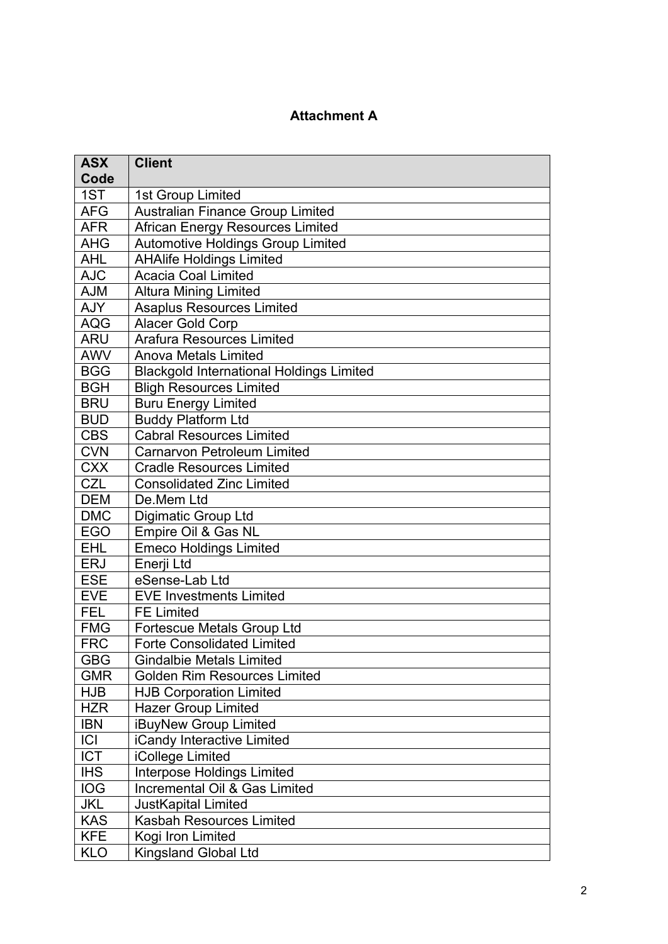## **Attachment A**

| <b>ASX</b><br>Code | <b>Client</b>                                   |
|--------------------|-------------------------------------------------|
| 1ST                | 1st Group Limited                               |
| <b>AFG</b>         | <b>Australian Finance Group Limited</b>         |
| <b>AFR</b>         | African Energy Resources Limited                |
| <b>AHG</b>         | Automotive Holdings Group Limited               |
| <b>AHL</b>         | <b>AHAlife Holdings Limited</b>                 |
| <b>AJC</b>         | <b>Acacia Coal Limited</b>                      |
| <b>AJM</b>         | <b>Altura Mining Limited</b>                    |
| <b>AJY</b>         | <b>Asaplus Resources Limited</b>                |
| <b>AQG</b>         | Alacer Gold Corp                                |
| <b>ARU</b>         | <b>Arafura Resources Limited</b>                |
| <b>AWV</b>         | <b>Anova Metals Limited</b>                     |
| <b>BGG</b>         | <b>Blackgold International Holdings Limited</b> |
| <b>BGH</b>         | <b>Bligh Resources Limited</b>                  |
| <b>BRU</b>         | <b>Buru Energy Limited</b>                      |
| <b>BUD</b>         | <b>Buddy Platform Ltd</b>                       |
| <b>CBS</b>         | <b>Cabral Resources Limited</b>                 |
| <b>CVN</b>         | <b>Carnarvon Petroleum Limited</b>              |
| <b>CXX</b>         | <b>Cradle Resources Limited</b>                 |
| <b>CZL</b>         | <b>Consolidated Zinc Limited</b>                |
| <b>DEM</b>         | De.Mem Ltd                                      |
| <b>DMC</b>         | Digimatic Group Ltd                             |
| <b>EGO</b>         | Empire Oil & Gas NL                             |
| <b>EHL</b>         | <b>Emeco Holdings Limited</b>                   |
| ERJ                | Enerji Ltd                                      |
| <b>ESE</b>         | eSense-Lab Ltd                                  |
| <b>EVE</b>         | <b>EVE Investments Limited</b>                  |
| <b>FEL</b>         | <b>FE Limited</b>                               |
| <b>FMG</b>         | Fortescue Metals Group Ltd                      |
| <b>FRC</b>         | <b>Forte Consolidated Limited</b>               |
| <b>GBG</b>         | <b>Gindalbie Metals Limited</b>                 |
| <b>GMR</b>         | <b>Golden Rim Resources Limited</b>             |
| <b>HJB</b>         | <b>HJB Corporation Limited</b>                  |
| <b>HZR</b>         | <b>Hazer Group Limited</b>                      |
| <b>IBN</b>         | iBuyNew Group Limited                           |
| C                  | iCandy Interactive Limited                      |
| <b>ICT</b>         | iCollege Limited                                |
| <b>IHS</b>         | <b>Interpose Holdings Limited</b>               |
| <b>IOG</b>         | Incremental Oil & Gas Limited                   |
| <b>JKL</b>         | JustKapital Limited                             |
| <b>KAS</b>         | Kasbah Resources Limited                        |
| <b>KFE</b>         | Kogi Iron Limited                               |
| <b>KLO</b>         | Kingsland Global Ltd                            |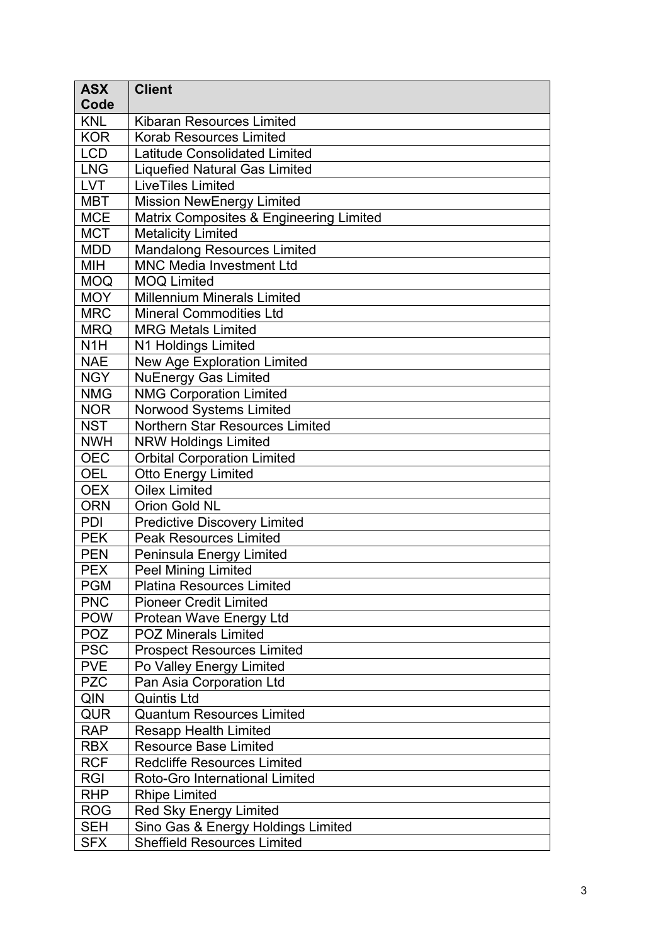| <b>ASX</b>       | <b>Client</b>                           |
|------------------|-----------------------------------------|
| Code             |                                         |
| <b>KNL</b>       | <b>Kibaran Resources Limited</b>        |
| <b>KOR</b>       | <b>Korab Resources Limited</b>          |
| <b>LCD</b>       | <b>Latitude Consolidated Limited</b>    |
| <b>LNG</b>       | <b>Liquefied Natural Gas Limited</b>    |
| <b>LVT</b>       | <b>LiveTiles Limited</b>                |
| <b>MBT</b>       | <b>Mission NewEnergy Limited</b>        |
| <b>MCE</b>       | Matrix Composites & Engineering Limited |
| <b>MCT</b>       | <b>Metalicity Limited</b>               |
| <b>MDD</b>       | <b>Mandalong Resources Limited</b>      |
| MIH              | <b>MNC Media Investment Ltd</b>         |
| <b>MOQ</b>       | <b>MOQ Limited</b>                      |
| <b>MOY</b>       | <b>Millennium Minerals Limited</b>      |
| <b>MRC</b>       | <b>Mineral Commodities Ltd</b>          |
| <b>MRQ</b>       | <b>MRG Metals Limited</b>               |
| N <sub>1</sub> H | N1 Holdings Limited                     |
| <b>NAE</b>       | New Age Exploration Limited             |
| <b>NGY</b>       | <b>NuEnergy Gas Limited</b>             |
| <b>NMG</b>       | <b>NMG Corporation Limited</b>          |
| <b>NOR</b>       | Norwood Systems Limited                 |
| <b>NST</b>       | <b>Northern Star Resources Limited</b>  |
| <b>NWH</b>       | <b>NRW Holdings Limited</b>             |
| <b>OEC</b>       | <b>Orbital Corporation Limited</b>      |
| <b>OEL</b>       | <b>Otto Energy Limited</b>              |
| <b>OEX</b>       | <b>Oilex Limited</b>                    |
| <b>ORN</b>       | Orion Gold NL                           |
| <b>PDI</b>       | <b>Predictive Discovery Limited</b>     |
| <b>PEK</b>       | <b>Peak Resources Limited</b>           |
| <b>PEN</b>       | Peninsula Energy Limited                |
| <b>PEX</b>       | <b>Peel Mining Limited</b>              |
| <b>PGM</b>       | <b>Platina Resources Limited</b>        |
| <b>PNC</b>       | <b>Pioneer Credit Limited</b>           |
| <b>POW</b>       | Protean Wave Energy Ltd                 |
| <b>POZ</b>       | <b>POZ Minerals Limited</b>             |
| <b>PSC</b>       | <b>Prospect Resources Limited</b>       |
| <b>PVE</b>       | Po Valley Energy Limited                |
| <b>PZC</b>       | Pan Asia Corporation Ltd                |
| QIN              | <b>Quintis Ltd</b>                      |
| <b>QUR</b>       | <b>Quantum Resources Limited</b>        |
| <b>RAP</b>       | <b>Resapp Health Limited</b>            |
| <b>RBX</b>       | <b>Resource Base Limited</b>            |
| <b>RCF</b>       | <b>Redcliffe Resources Limited</b>      |
| <b>RGI</b>       | Roto-Gro International Limited          |
| <b>RHP</b>       | <b>Rhipe Limited</b>                    |
| <b>ROG</b>       | Red Sky Energy Limited                  |
| <b>SEH</b>       | Sino Gas & Energy Holdings Limited      |
| <b>SFX</b>       | <b>Sheffield Resources Limited</b>      |